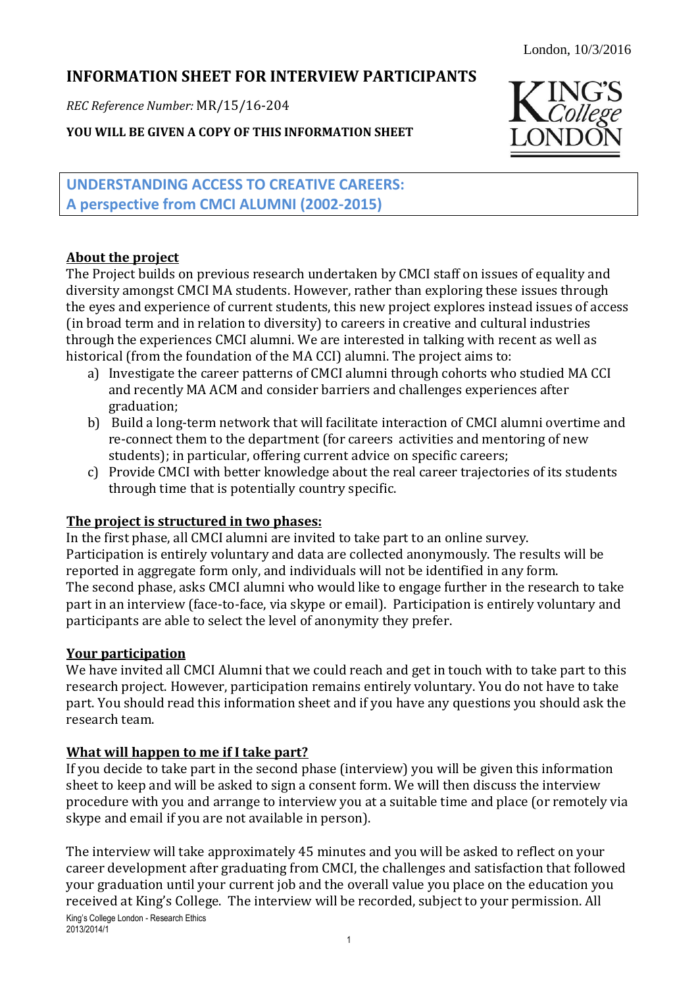# **INFORMATION SHEET FOR INTERVIEW PARTICIPANTS**

*REC Reference Number:* MR/15/16-204

**YOU WILL BE GIVEN A COPY OF THIS INFORMATION SHEET**



**UNDERSTANDING ACCESS TO CREATIVE CAREERS: A perspective from CMCI ALUMNI (2002-2015)**

## **About the project**

The Project builds on previous research undertaken by CMCI staff on issues of equality and diversity amongst CMCI MA students. However, rather than exploring these issues through the eyes and experience of current students, this new project explores instead issues of access (in broad term and in relation to diversity) to careers in creative and cultural industries through the experiences CMCI alumni. We are interested in talking with recent as well as historical (from the foundation of the MA CCI) alumni. The project aims to:

- a) Investigate the career patterns of CMCI alumni through cohorts who studied MA CCI and recently MA ACM and consider barriers and challenges experiences after graduation;
- b) Build a long-term network that will facilitate interaction of CMCI alumni overtime and re-connect them to the department (for careers activities and mentoring of new students); in particular, offering current advice on specific careers;
- c) Provide CMCI with better knowledge about the real career trajectories of its students through time that is potentially country specific.

## **The project is structured in two phases:**

In the first phase, all CMCI alumni are invited to take part to an online survey. Participation is entirely voluntary and data are collected anonymously. The results will be reported in aggregate form only, and individuals will not be identified in any form. The second phase, asks CMCI alumni who would like to engage further in the research to take part in an interview (face-to-face, via skype or email). Participation is entirely voluntary and participants are able to select the level of anonymity they prefer.

## **Your participation**

We have invited all CMCI Alumni that we could reach and get in touch with to take part to this research project. However, participation remains entirely voluntary. You do not have to take part. You should read this information sheet and if you have any questions you should ask the research team.

# **What will happen to me if I take part?**

If you decide to take part in the second phase (interview) you will be given this information sheet to keep and will be asked to sign a consent form. We will then discuss the interview procedure with you and arrange to interview you at a suitable time and place (or remotely via skype and email if you are not available in person).

The interview will take approximately 45 minutes and you will be asked to reflect on your career development after graduating from CMCI, the challenges and satisfaction that followed your graduation until your current job and the overall value you place on the education you received at King's College. The interview will be recorded, subject to your permission. All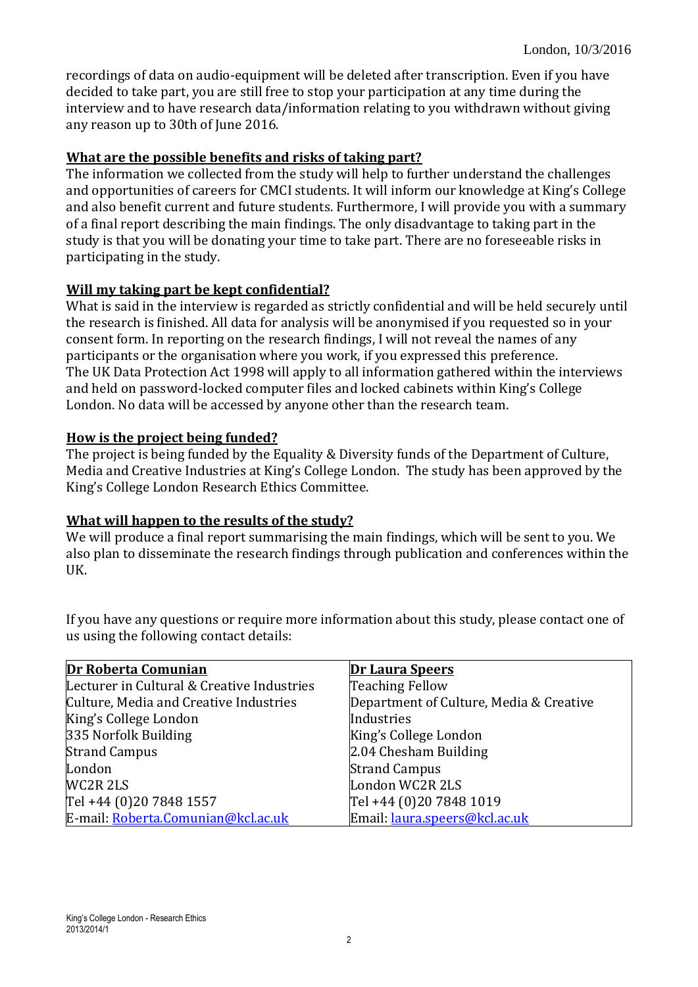recordings of data on audio-equipment will be deleted after transcription. Even if you have decided to take part, you are still free to stop your participation at any time during the interview and to have research data/information relating to you withdrawn without giving any reason up to 30th of June 2016.

#### **What are the possible benefits and risks of taking part?**

The information we collected from the study will help to further understand the challenges and opportunities of careers for CMCI students. It will inform our knowledge at King's College and also benefit current and future students. Furthermore, I will provide you with a summary of a final report describing the main findings. The only disadvantage to taking part in the study is that you will be donating your time to take part. There are no foreseeable risks in participating in the study.

#### **Will my taking part be kept confidential?**

What is said in the interview is regarded as strictly confidential and will be held securely until the research is finished. All data for analysis will be anonymised if you requested so in your consent form. In reporting on the research findings, I will not reveal the names of any participants or the organisation where you work, if you expressed this preference. The UK Data Protection Act 1998 will apply to all information gathered within the interviews and held on password-locked computer files and locked cabinets within King's College London. No data will be accessed by anyone other than the research team.

#### **How is the project being funded?**

The project is being funded by the Equality & Diversity funds of the Department of Culture, Media and Creative Industries at King's College London. The study has been approved by the King's College London Research Ethics Committee.

#### **What will happen to the results of the study?**

We will produce a final report summarising the main findings, which will be sent to you. We also plan to disseminate the research findings through publication and conferences within the UK.

If you have any questions or require more information about this study, please contact one of us using the following contact details:

| Dr Roberta Comunian                        | <b>Dr Laura Speers</b>                  |
|--------------------------------------------|-----------------------------------------|
| Lecturer in Cultural & Creative Industries | <b>Teaching Fellow</b>                  |
| Culture, Media and Creative Industries     | Department of Culture, Media & Creative |
| King's College London                      | Industries                              |
| 335 Norfolk Building                       | King's College London                   |
| <b>Strand Campus</b>                       | 2.04 Chesham Building                   |
| London                                     | <b>Strand Campus</b>                    |
| WC2R 2LS                                   | London WC2R 2LS                         |
| Tel +44 (0) 20 7848 1557                   | Tel +44 (0)20 7848 1019                 |
| E-mail: Roberta.Comunian@kcl.ac.uk         | Email: laura.speers@kcl.ac.uk           |